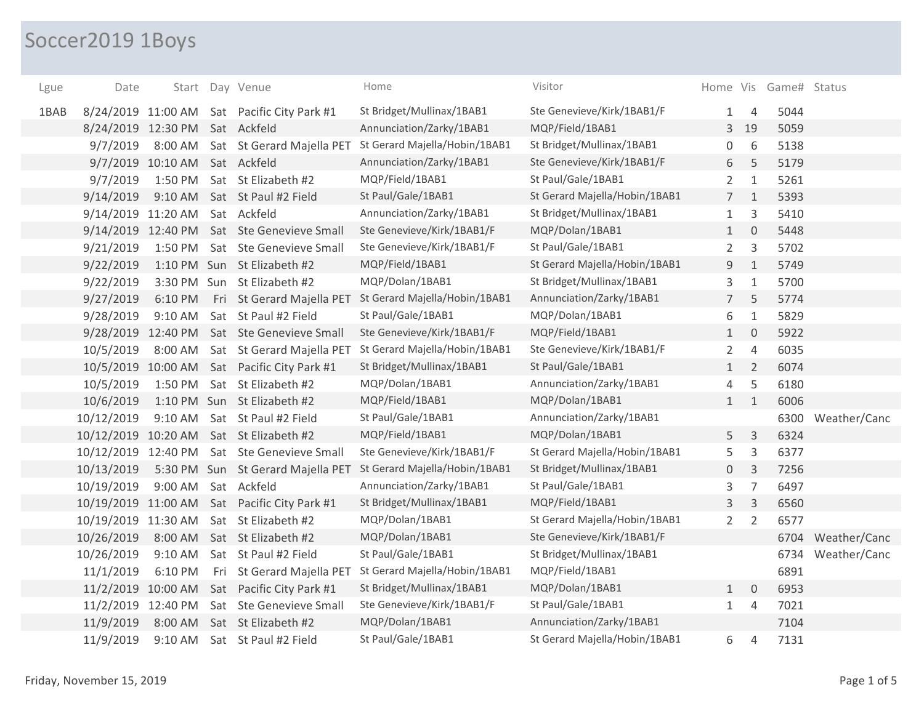## Soccer2019 1Boys

| Lgue | Date                           |                               | Start Day Venue                              | Home                                                            | Visitor                       |                |                | Home Vis Game# Status |              |
|------|--------------------------------|-------------------------------|----------------------------------------------|-----------------------------------------------------------------|-------------------------------|----------------|----------------|-----------------------|--------------|
| 1BAB |                                |                               | 8/24/2019 11:00 AM Sat Pacific City Park #1  | St Bridget/Mullinax/1BAB1                                       | Ste Genevieve/Kirk/1BAB1/F    | 1              | $\overline{4}$ | 5044                  |              |
|      | 8/24/2019 12:30 PM Sat Ackfeld |                               |                                              | Annunciation/Zarky/1BAB1                                        | MQP/Field/1BAB1               | 3              | 19             | 5059                  |              |
|      | 9/7/2019                       |                               |                                              | 8:00 AM Sat St Gerard Majella PET St Gerard Majella/Hobin/1BAB1 | St Bridget/Mullinax/1BAB1     | 0              | 6              | 5138                  |              |
|      |                                | 9/7/2019 10:10 AM Sat Ackfeld |                                              | Annunciation/Zarky/1BAB1                                        | Ste Genevieve/Kirk/1BAB1/F    | 6              | 5              | 5179                  |              |
|      | 9/7/2019                       | 1:50 PM                       | Sat St Elizabeth #2                          | MQP/Field/1BAB1                                                 | St Paul/Gale/1BAB1            | $\mathbf{2}$   | $\mathbf{1}$   | 5261                  |              |
|      | 9/14/2019                      | $9:10$ AM                     | Sat St Paul #2 Field                         | St Paul/Gale/1BAB1                                              | St Gerard Majella/Hobin/1BAB1 | $\overline{7}$ | $1\,$          | 5393                  |              |
|      | 9/14/2019 11:20 AM             |                               | Sat Ackfeld                                  | Annunciation/Zarky/1BAB1                                        | St Bridget/Mullinax/1BAB1     | $\mathbf{1}$   | 3              | 5410                  |              |
|      |                                |                               | 9/14/2019 12:40 PM Sat Ste Genevieve Small   | Ste Genevieve/Kirk/1BAB1/F                                      | MQP/Dolan/1BAB1               | 1              | $\mathbf 0$    | 5448                  |              |
|      | 9/21/2019                      | 1:50 PM                       | Sat Ste Genevieve Small                      | Ste Genevieve/Kirk/1BAB1/F                                      | St Paul/Gale/1BAB1            | $\overline{2}$ | 3              | 5702                  |              |
|      | 9/22/2019                      |                               | 1:10 PM Sun St Elizabeth #2                  | MQP/Field/1BAB1                                                 | St Gerard Majella/Hobin/1BAB1 | 9              | $1\,$          | 5749                  |              |
|      | 9/22/2019                      |                               | 3:30 PM Sun St Elizabeth #2                  | MQP/Dolan/1BAB1                                                 | St Bridget/Mullinax/1BAB1     | 3              | $\mathbf{1}$   | 5700                  |              |
|      | 9/27/2019                      | 6:10 PM                       | Fri St Gerard Majella PET                    | St Gerard Majella/Hobin/1BAB1                                   | Annunciation/Zarky/1BAB1      | $\overline{7}$ | 5              | 5774                  |              |
|      | 9/28/2019                      | $9:10$ AM                     | Sat St Paul #2 Field                         | St Paul/Gale/1BAB1                                              | MQP/Dolan/1BAB1               | 6              | $\mathbf{1}$   | 5829                  |              |
|      |                                |                               | 9/28/2019 12:40 PM Sat Ste Genevieve Small   | Ste Genevieve/Kirk/1BAB1/F                                      | MQP/Field/1BAB1               | $\mathbf{1}$   | $\mathbf 0$    | 5922                  |              |
|      | 10/5/2019                      | 8:00 AM                       | Sat St Gerard Majella PET                    | St Gerard Majella/Hobin/1BAB1                                   | Ste Genevieve/Kirk/1BAB1/F    | $\overline{2}$ | $\overline{4}$ | 6035                  |              |
|      |                                |                               | 10/5/2019 10:00 AM Sat Pacific City Park #1  | St Bridget/Mullinax/1BAB1                                       | St Paul/Gale/1BAB1            | $\mathbf{1}$   | $\overline{2}$ | 6074                  |              |
|      | 10/5/2019                      |                               | 1:50 PM Sat St Elizabeth #2                  | MQP/Dolan/1BAB1                                                 | Annunciation/Zarky/1BAB1      | 4              | 5              | 6180                  |              |
|      | 10/6/2019                      |                               | 1:10 PM Sun St Elizabeth #2                  | MQP/Field/1BAB1                                                 | MQP/Dolan/1BAB1               | 1              | $\mathbf{1}$   | 6006                  |              |
|      | 10/12/2019                     | 9:10 AM                       | Sat St Paul #2 Field                         | St Paul/Gale/1BAB1                                              | Annunciation/Zarky/1BAB1      |                |                | 6300                  | Weather/Canc |
|      |                                |                               | 10/12/2019 10:20 AM Sat St Elizabeth #2      | MQP/Field/1BAB1                                                 | MQP/Dolan/1BAB1               | 5              | $\mathsf{3}$   | 6324                  |              |
|      | 10/12/2019 12:40 PM            |                               | Sat Ste Genevieve Small                      | Ste Genevieve/Kirk/1BAB1/F                                      | St Gerard Majella/Hobin/1BAB1 | 5              | 3              | 6377                  |              |
|      | 10/13/2019                     |                               | 5:30 PM Sun St Gerard Majella PET            | St Gerard Majella/Hobin/1BAB1                                   | St Bridget/Mullinax/1BAB1     | 0              | $\mathsf{3}$   | 7256                  |              |
|      | 10/19/2019                     | $9:00$ AM                     | Sat Ackfeld                                  | Annunciation/Zarky/1BAB1                                        | St Paul/Gale/1BAB1            | 3              | $\overline{7}$ | 6497                  |              |
|      |                                |                               | 10/19/2019 11:00 AM Sat Pacific City Park #1 | St Bridget/Mullinax/1BAB1                                       | MQP/Field/1BAB1               | 3              | 3              | 6560                  |              |
|      | 10/19/2019 11:30 AM            |                               | Sat St Elizabeth #2                          | MQP/Dolan/1BAB1                                                 | St Gerard Majella/Hobin/1BAB1 | $\overline{2}$ | $\overline{2}$ | 6577                  |              |
|      | 10/26/2019                     |                               | 8:00 AM Sat St Elizabeth #2                  | MQP/Dolan/1BAB1                                                 | Ste Genevieve/Kirk/1BAB1/F    |                |                | 6704                  | Weather/Canc |
|      | 10/26/2019                     | 9:10 AM                       | Sat St Paul #2 Field                         | St Paul/Gale/1BAB1                                              | St Bridget/Mullinax/1BAB1     |                |                | 6734                  | Weather/Canc |
|      | 11/1/2019                      | 6:10 PM                       | Fri St Gerard Majella PET                    | St Gerard Majella/Hobin/1BAB1                                   | MQP/Field/1BAB1               |                |                | 6891                  |              |
|      | 11/2/2019 10:00 AM             |                               | Sat Pacific City Park #1                     | St Bridget/Mullinax/1BAB1                                       | MQP/Dolan/1BAB1               | $\mathbf{1}$   | $\mathbf 0$    | 6953                  |              |
|      | 11/2/2019 12:40 PM             |                               | Sat Ste Genevieve Small                      | Ste Genevieve/Kirk/1BAB1/F                                      | St Paul/Gale/1BAB1            | $\mathbf{1}$   | $\overline{4}$ | 7021                  |              |
|      | 11/9/2019                      |                               | 8:00 AM Sat St Elizabeth #2                  | MQP/Dolan/1BAB1                                                 | Annunciation/Zarky/1BAB1      |                |                | 7104                  |              |
|      | 11/9/2019                      | $9:10$ AM                     | Sat St Paul #2 Field                         | St Paul/Gale/1BAB1                                              | St Gerard Majella/Hobin/1BAB1 | 6              | $\overline{4}$ | 7131                  |              |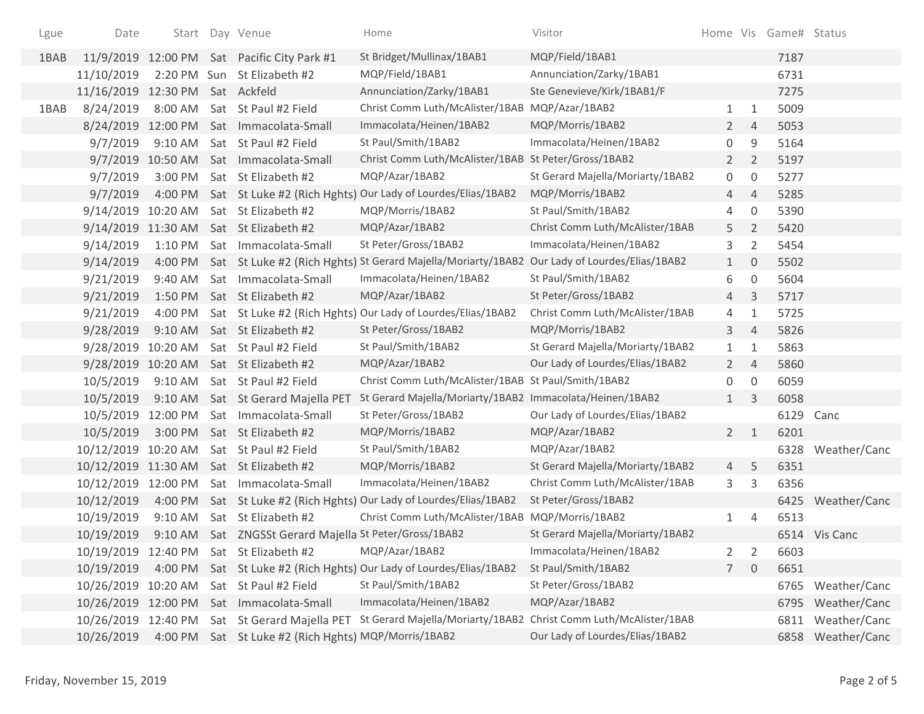| Lgue | Date                |                      | Start Day Venue                                        | Home                                                                                                 | Visitor                          |                |                     | Home Vis Game# Status |                   |
|------|---------------------|----------------------|--------------------------------------------------------|------------------------------------------------------------------------------------------------------|----------------------------------|----------------|---------------------|-----------------------|-------------------|
| 1BAB | 11/9/2019           |                      | 12:00 PM Sat Pacific City Park #1                      | St Bridget/Mullinax/1BAB1                                                                            | MQP/Field/1BAB1                  |                |                     | 7187                  |                   |
|      | 11/10/2019          |                      | 2:20 PM Sun St Elizabeth #2                            | MQP/Field/1BAB1                                                                                      | Annunciation/Zarky/1BAB1         |                |                     | 6731                  |                   |
|      | 11/16/2019          | 12:30 PM Sat Ackfeld |                                                        | Annunciation/Zarky/1BAB1                                                                             | Ste Genevieve/Kirk/1BAB1/F       |                |                     | 7275                  |                   |
| 1BAB | 8/24/2019           |                      | 8:00 AM Sat St Paul #2 Field                           | Christ Comm Luth/McAlister/1BAB MQP/Azar/1BAB2                                                       |                                  | $\mathbf{1}$   | 1                   | 5009                  |                   |
|      | 8/24/2019           |                      | 12:00 PM Sat Immacolata-Small                          | Immacolata/Heinen/1BAB2                                                                              | MQP/Morris/1BAB2                 | $\mathbf{2}$   | $\overline{4}$      | 5053                  |                   |
|      | 9/7/2019            | $9:10$ AM            | Sat St Paul #2 Field                                   | St Paul/Smith/1BAB2                                                                                  | Immacolata/Heinen/1BAB2          | 0              | 9                   | 5164                  |                   |
|      |                     |                      | 9/7/2019 10:50 AM Sat Immacolata-Small                 | Christ Comm Luth/McAlister/1BAB St Peter/Gross/1BAB2                                                 |                                  | $2^{\circ}$    | 2                   | 5197                  |                   |
|      | 9/7/2019            | 3:00 PM              | Sat St Elizabeth #2                                    | MQP/Azar/1BAB2                                                                                       | St Gerard Majella/Moriarty/1BAB2 | 0              | 0                   | 5277                  |                   |
|      | 9/7/2019            |                      |                                                        | 4:00 PM Sat St Luke #2 (Rich Hghts) Our Lady of Lourdes/Elias/1BAB2                                  | MQP/Morris/1BAB2                 | 4              | $\overline{4}$      | 5285                  |                   |
|      |                     |                      | 9/14/2019 10:20 AM Sat St Elizabeth #2                 | MQP/Morris/1BAB2                                                                                     | St Paul/Smith/1BAB2              | 4              | $\mathsf{O}\xspace$ | 5390                  |                   |
|      |                     |                      | 9/14/2019 11:30 AM Sat St Elizabeth #2                 | MQP/Azar/1BAB2                                                                                       | Christ Comm Luth/McAlister/1BAB  | 5.             | $\overline{2}$      | 5420                  |                   |
|      | 9/14/2019           |                      | 1:10 PM Sat Immacolata-Small                           | St Peter/Gross/1BAB2                                                                                 | Immacolata/Heinen/1BAB2          | 3              | $\overline{2}$      | 5454                  |                   |
|      | 9/14/2019           |                      |                                                        | 4:00 PM Sat St Luke #2 (Rich Hghts) St Gerard Majella/Moriarty/1BAB2 Our Lady of Lourdes/Elias/1BAB2 |                                  | 1              | $\mathbf 0$         | 5502                  |                   |
|      | 9/21/2019           | 9:40 AM              | Sat Immacolata-Small                                   | Immacolata/Heinen/1BAB2                                                                              | St Paul/Smith/1BAB2              | 6              | $\mathsf{O}\xspace$ | 5604                  |                   |
|      | 9/21/2019           |                      | 1:50 PM Sat St Elizabeth #2                            | MQP/Azar/1BAB2                                                                                       | St Peter/Gross/1BAB2             | 4              | 3                   | 5717                  |                   |
|      | 9/21/2019           |                      |                                                        | 4:00 PM Sat St Luke #2 (Rich Hghts) Our Lady of Lourdes/Elias/1BAB2                                  | Christ Comm Luth/McAlister/1BAB  | 4              | 1                   | 5725                  |                   |
|      | 9/28/2019           |                      | 9:10 AM Sat St Elizabeth #2                            | St Peter/Gross/1BAB2                                                                                 | MQP/Morris/1BAB2                 | 3              | $\overline{4}$      | 5826                  |                   |
|      |                     |                      | 9/28/2019 10:20 AM Sat St Paul #2 Field                | St Paul/Smith/1BAB2                                                                                  | St Gerard Majella/Moriarty/1BAB2 | $\mathbf{1}$   | $\mathbf{1}$        | 5863                  |                   |
|      |                     |                      | 9/28/2019 10:20 AM Sat St Elizabeth #2                 | MQP/Azar/1BAB2                                                                                       | Our Lady of Lourdes/Elias/1BAB2  | $\mathbf{2}$   | $\overline{4}$      | 5860                  |                   |
|      | 10/5/2019           |                      | 9:10 AM Sat St Paul #2 Field                           | Christ Comm Luth/McAlister/1BAB St Paul/Smith/1BAB2                                                  |                                  | 0              | $\mathbf 0$         | 6059                  |                   |
|      | 10/5/2019           |                      | 9:10 AM Sat St Gerard Majella PET                      | St Gerard Majella/Moriarty/1BAB2 Immacolata/Heinen/1BAB2                                             |                                  | 1              | 3                   | 6058                  |                   |
|      |                     |                      | 10/5/2019 12:00 PM Sat Immacolata-Small                | St Peter/Gross/1BAB2                                                                                 | Our Lady of Lourdes/Elias/1BAB2  |                |                     | 6129                  | Canc              |
|      | 10/5/2019           |                      | 3:00 PM Sat St Elizabeth #2                            | MQP/Morris/1BAB2                                                                                     | MQP/Azar/1BAB2                   | $2^{\circ}$    | $\mathbf{1}$        | 6201                  |                   |
|      |                     |                      | 10/12/2019 10:20 AM Sat St Paul #2 Field               | St Paul/Smith/1BAB2                                                                                  | MQP/Azar/1BAB2                   |                |                     | 6328                  | Weather/Canc      |
|      |                     |                      | 10/12/2019 11:30 AM Sat St Elizabeth #2                | MQP/Morris/1BAB2                                                                                     | St Gerard Majella/Moriarty/1BAB2 | 4              | 5                   | 6351                  |                   |
|      | 10/12/2019 12:00 PM |                      | Sat Immacolata-Small                                   | Immacolata/Heinen/1BAB2                                                                              | Christ Comm Luth/McAlister/1BAB  | 3              | 3                   | 6356                  |                   |
|      | 10/12/2019          |                      |                                                        | 4:00 PM Sat St Luke #2 (Rich Hghts) Our Lady of Lourdes/Elias/1BAB2                                  | St Peter/Gross/1BAB2             |                |                     |                       | 6425 Weather/Canc |
|      | 10/19/2019          | 9:10 AM              | Sat St Elizabeth #2                                    | Christ Comm Luth/McAlister/1BAB MQP/Morris/1BAB2                                                     |                                  | $\mathbf{1}$   | 4                   | 6513                  |                   |
|      | 10/19/2019          |                      | 9:10 AM Sat ZNGSSt Gerard Majella St Peter/Gross/1BAB2 |                                                                                                      | St Gerard Majella/Moriarty/1BAB2 |                |                     |                       | 6514 Vis Canc     |
|      |                     |                      | 10/19/2019 12:40 PM Sat St Elizabeth #2                | MQP/Azar/1BAB2                                                                                       | Immacolata/Heinen/1BAB2          |                |                     | 6603                  |                   |
|      | 10/19/2019          |                      |                                                        | 4:00 PM Sat St Luke #2 (Rich Hghts) Our Lady of Lourdes/Elias/1BAB2                                  | St Paul/Smith/1BAB2              | $\overline{7}$ | $\mathbf 0$         | 6651                  |                   |
|      | 10/26/2019          | 10:20 AM             | Sat St Paul #2 Field                                   | St Paul/Smith/1BAB2                                                                                  | St Peter/Gross/1BAB2             |                |                     | 6765                  | Weather/Canc      |
|      | 10/26/2019          | 12:00 PM             | Sat Immacolata-Small                                   | Immacolata/Heinen/1BAB2                                                                              | MQP/Azar/1BAB2                   |                |                     | 6795                  | Weather/Canc      |
|      | 10/26/2019          | 12:40 PM             | Sat St Gerard Majella PET                              | St Gerard Majella/Moriarty/1BAB2 Christ Comm Luth/McAlister/1BAB                                     |                                  |                |                     | 6811                  | Weather/Canc      |
|      | 10/26/2019          |                      | 4:00 PM Sat St Luke #2 (Rich Hghts) MQP/Morris/1BAB2   |                                                                                                      | Our Lady of Lourdes/Elias/1BAB2  |                |                     | 6858                  | Weather/Canc      |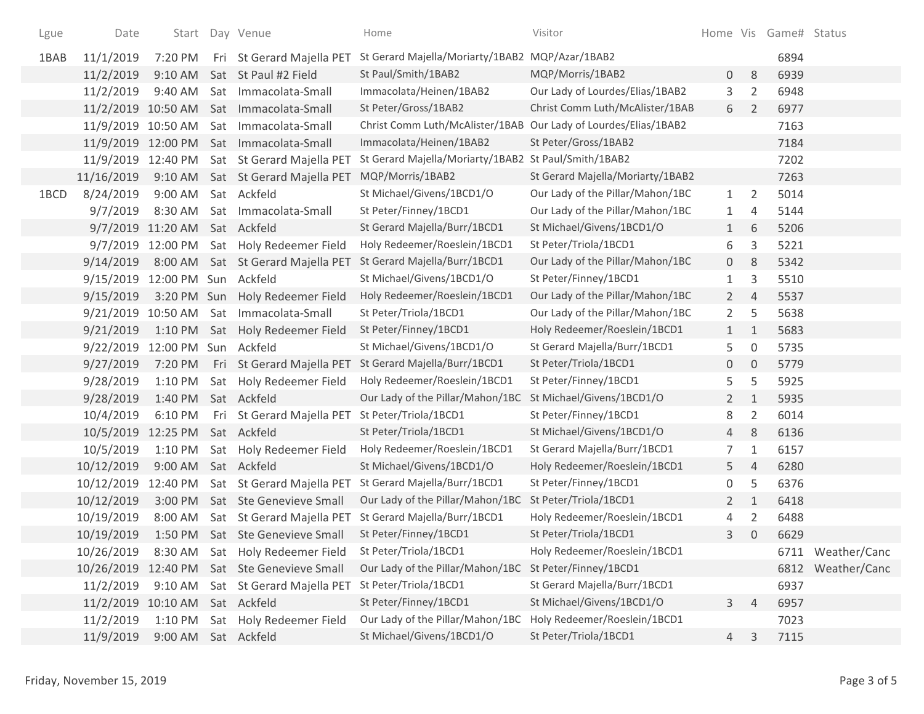| Lgue | Date                           |                      |     | Start Day Venue                         | Home                                                            | Visitor                          |                |                     | Home Vis Game# Status |                   |
|------|--------------------------------|----------------------|-----|-----------------------------------------|-----------------------------------------------------------------|----------------------------------|----------------|---------------------|-----------------------|-------------------|
| 1BAB | 11/1/2019                      | 7:20 PM              |     | Fri St Gerard Majella PET               | St Gerard Majella/Moriarty/1BAB2 MQP/Azar/1BAB2                 |                                  |                |                     | 6894                  |                   |
|      | 11/2/2019                      | $9:10$ AM            |     | Sat St Paul #2 Field                    | St Paul/Smith/1BAB2                                             | MQP/Morris/1BAB2                 | 0              | 8                   | 6939                  |                   |
|      | 11/2/2019                      | 9:40 AM              |     | Sat Immacolata-Small                    | Immacolata/Heinen/1BAB2                                         | Our Lady of Lourdes/Elias/1BAB2  | 3              | $\overline{2}$      | 6948                  |                   |
|      |                                |                      |     | 11/2/2019 10:50 AM Sat Immacolata-Small | St Peter/Gross/1BAB2                                            | Christ Comm Luth/McAlister/1BAB  | 6              | $\overline{2}$      | 6977                  |                   |
|      | 11/9/2019 10:50 AM             |                      | Sat | Immacolata-Small                        | Christ Comm Luth/McAlister/1BAB Our Lady of Lourdes/Elias/1BAB2 |                                  |                |                     | 7163                  |                   |
|      |                                |                      |     | 11/9/2019 12:00 PM Sat Immacolata-Small | Immacolata/Heinen/1BAB2                                         | St Peter/Gross/1BAB2             |                |                     | 7184                  |                   |
|      | 11/9/2019 12:40 PM             |                      |     | Sat St Gerard Majella PET               | St Gerard Majella/Moriarty/1BAB2 St Paul/Smith/1BAB2            |                                  |                |                     | 7202                  |                   |
|      | 11/16/2019                     |                      |     | 9:10 AM Sat St Gerard Majella PET       | MQP/Morris/1BAB2                                                | St Gerard Majella/Moriarty/1BAB2 |                |                     | 7263                  |                   |
| 1BCD | 8/24/2019                      | 9:00 AM              |     | Sat Ackfeld                             | St Michael/Givens/1BCD1/O                                       | Our Lady of the Pillar/Mahon/1BC | $\mathbf{1}$   | $\overline{2}$      | 5014                  |                   |
|      | 9/7/2019                       | 8:30 AM              |     | Sat Immacolata-Small                    | St Peter/Finney/1BCD1                                           | Our Lady of the Pillar/Mahon/1BC | 1              | 4                   | 5144                  |                   |
|      |                                | 9/7/2019 11:20 AM    |     | Sat Ackfeld                             | St Gerard Majella/Burr/1BCD1                                    | St Michael/Givens/1BCD1/O        | $\mathbf{1}$   | 6                   | 5206                  |                   |
|      | 9/7/2019                       | 12:00 PM             |     | Sat Holy Redeemer Field                 | Holy Redeemer/Roeslein/1BCD1                                    | St Peter/Triola/1BCD1            | 6              | 3                   | 5221                  |                   |
|      | 9/14/2019                      |                      |     | 8:00 AM Sat St Gerard Majella PET       | St Gerard Majella/Burr/1BCD1                                    | Our Lady of the Pillar/Mahon/1BC | 0              | 8                   | 5342                  |                   |
|      | 9/15/2019                      | 12:00 PM Sun         |     | Ackfeld                                 | St Michael/Givens/1BCD1/O                                       | St Peter/Finney/1BCD1            | 1              | 3                   | 5510                  |                   |
|      | 9/15/2019                      | 3:20 PM Sun          |     | Holy Redeemer Field                     | Holy Redeemer/Roeslein/1BCD1                                    | Our Lady of the Pillar/Mahon/1BC | $\overline{2}$ | 4                   | 5537                  |                   |
|      | 9/21/2019 10:50 AM             |                      | Sat | Immacolata-Small                        | St Peter/Triola/1BCD1                                           | Our Lady of the Pillar/Mahon/1BC | $\overline{2}$ | 5                   | 5638                  |                   |
|      | 9/21/2019                      | 1:10 PM              |     | Sat Holy Redeemer Field                 | St Peter/Finney/1BCD1                                           | Holy Redeemer/Roeslein/1BCD1     | $\mathbf{1}$   | $\mathbf{1}$        | 5683                  |                   |
|      | 9/22/2019                      | 12:00 PM Sun Ackfeld |     |                                         | St Michael/Givens/1BCD1/O                                       | St Gerard Majella/Burr/1BCD1     | 5              | $\mathsf{O}\xspace$ | 5735                  |                   |
|      | 9/27/2019                      | 7:20 PM              |     | Fri St Gerard Majella PET               | St Gerard Majella/Burr/1BCD1                                    | St Peter/Triola/1BCD1            | 0              | $\mathbf 0$         | 5779                  |                   |
|      | 9/28/2019                      | 1:10 PM              |     | Sat Holy Redeemer Field                 | Holy Redeemer/Roeslein/1BCD1                                    | St Peter/Finney/1BCD1            | 5              | 5                   | 5925                  |                   |
|      | 9/28/2019                      | 1:40 PM              |     | Sat Ackfeld                             | Our Lady of the Pillar/Mahon/1BC                                | St Michael/Givens/1BCD1/O        | $\overline{2}$ | $\mathbf{1}$        | 5935                  |                   |
|      | 10/4/2019                      | 6:10 PM              |     | Fri St Gerard Majella PET               | St Peter/Triola/1BCD1                                           | St Peter/Finney/1BCD1            | 8              | $\overline{2}$      | 6014                  |                   |
|      | 10/5/2019                      | 12:25 PM             |     | Sat Ackfeld                             | St Peter/Triola/1BCD1                                           | St Michael/Givens/1BCD1/O        | 4              | 8                   | 6136                  |                   |
|      | 10/5/2019                      | $1:10$ PM            |     | Sat Holy Redeemer Field                 | Holy Redeemer/Roeslein/1BCD1                                    | St Gerard Majella/Burr/1BCD1     | 7              | $\mathbf{1}$        | 6157                  |                   |
|      | 10/12/2019                     | 9:00 AM              |     | Sat Ackfeld                             | St Michael/Givens/1BCD1/O                                       | Holy Redeemer/Roeslein/1BCD1     | 5              | $\overline{4}$      | 6280                  |                   |
|      | 10/12/2019                     | 12:40 PM             |     | Sat St Gerard Majella PET               | St Gerard Majella/Burr/1BCD1                                    | St Peter/Finney/1BCD1            | 0              | 5                   | 6376                  |                   |
|      | 10/12/2019                     | 3:00 PM              |     | Sat Ste Genevieve Small                 | Our Lady of the Pillar/Mahon/1BC                                | St Peter/Triola/1BCD1            | $\overline{2}$ | $1\,$               | 6418                  |                   |
|      | 10/19/2019                     | 8:00 AM              |     | Sat St Gerard Majella PET               | St Gerard Majella/Burr/1BCD1                                    | Holy Redeemer/Roeslein/1BCD1     | 4              | $\overline{2}$      | 6488                  |                   |
|      | 10/19/2019                     |                      |     | 1:50 PM Sat Ste Genevieve Small         | St Peter/Finney/1BCD1                                           | St Peter/Triola/1BCD1            | 3              | $\mathbf 0$         | 6629                  |                   |
|      | 10/26/2019                     |                      |     | 8:30 AM Sat Holy Redeemer Field         | St Peter/Triola/1BCD1                                           | Holy Redeemer/Roeslein/1BCD1     |                |                     |                       | 6711 Weather/Canc |
|      | 10/26/2019                     |                      |     | 12:40 PM Sat Ste Genevieve Small        | Our Lady of the Pillar/Mahon/1BC St Peter/Finney/1BCD1          |                                  |                |                     |                       | 6812 Weather/Canc |
|      | 11/2/2019                      |                      |     | 9:10 AM Sat St Gerard Majella PET       | St Peter/Triola/1BCD1                                           | St Gerard Majella/Burr/1BCD1     |                |                     | 6937                  |                   |
|      | 11/2/2019 10:10 AM Sat Ackfeld |                      |     |                                         | St Peter/Finney/1BCD1                                           | St Michael/Givens/1BCD1/O        | 3              | $\overline{4}$      | 6957                  |                   |
|      | 11/2/2019                      | $1:10$ PM            |     | Sat Holy Redeemer Field                 | Our Lady of the Pillar/Mahon/1BC                                | Holy Redeemer/Roeslein/1BCD1     |                |                     | 7023                  |                   |
|      | 11/9/2019                      | 9:00 AM              |     | Sat Ackfeld                             | St Michael/Givens/1BCD1/O                                       | St Peter/Triola/1BCD1            | 4              | 3                   | 7115                  |                   |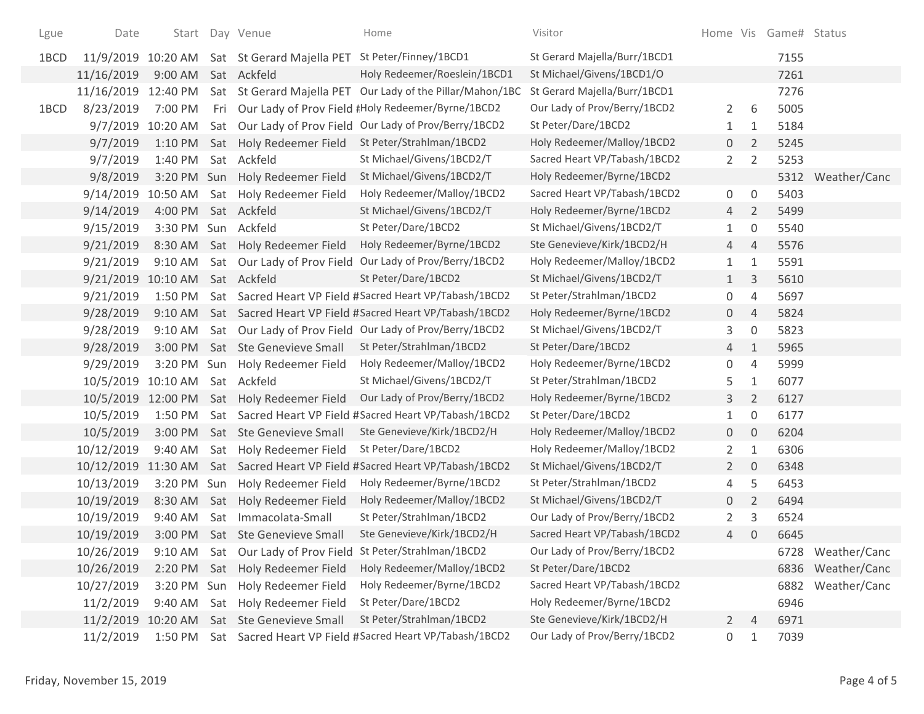| Lgue | Date       |                     | Start Day Venue                                                    | Home                                                       | Visitor                      |                |                  | Home Vis Game# Status |                   |
|------|------------|---------------------|--------------------------------------------------------------------|------------------------------------------------------------|------------------------------|----------------|------------------|-----------------------|-------------------|
| 1BCD |            |                     | 11/9/2019 10:20 AM Sat St Gerard Majella PET St Peter/Finney/1BCD1 |                                                            | St Gerard Majella/Burr/1BCD1 |                |                  | 7155                  |                   |
|      | 11/16/2019 | 9:00 AM             | Sat Ackfeld                                                        | Holy Redeemer/Roeslein/1BCD1                               | St Michael/Givens/1BCD1/O    |                |                  | 7261                  |                   |
|      | 11/16/2019 | 12:40 PM            |                                                                    | Sat St Gerard Majella PET Our Lady of the Pillar/Mahon/1BC | St Gerard Majella/Burr/1BCD1 |                |                  | 7276                  |                   |
| 1BCD | 8/23/2019  | 7:00 PM             |                                                                    | Fri Our Lady of Prov Field #Holy Redeemer/Byrne/1BCD2      | Our Lady of Prov/Berry/1BCD2 | 2              | 6                | 5005                  |                   |
|      | 9/7/2019   | 10:20 AM            |                                                                    | Sat Our Lady of Prov Field Our Lady of Prov/Berry/1BCD2    | St Peter/Dare/1BCD2          | $\mathbf{1}$   | 1                | 5184                  |                   |
|      | 9/7/2019   | 1:10 PM             | Sat Holy Redeemer Field                                            | St Peter/Strahlman/1BCD2                                   | Holy Redeemer/Malloy/1BCD2   | $\overline{0}$ | 2                | 5245                  |                   |
|      | 9/7/2019   | 1:40 PM             | Sat Ackfeld                                                        | St Michael/Givens/1BCD2/T                                  | Sacred Heart VP/Tabash/1BCD2 | $2^{\circ}$    | $\overline{2}$   | 5253                  |                   |
|      | 9/8/2019   |                     | 3:20 PM Sun Holy Redeemer Field                                    | St Michael/Givens/1BCD2/T                                  | Holy Redeemer/Byrne/1BCD2    |                |                  | 5312                  | Weather/Canc      |
|      | 9/14/2019  | 10:50 AM            | Sat Holy Redeemer Field                                            | Holy Redeemer/Malloy/1BCD2                                 | Sacred Heart VP/Tabash/1BCD2 | 0              | 0                | 5403                  |                   |
|      | 9/14/2019  | 4:00 PM             | Sat Ackfeld                                                        | St Michael/Givens/1BCD2/T                                  | Holy Redeemer/Byrne/1BCD2    | $\overline{4}$ | $\overline{2}$   | 5499                  |                   |
|      | 9/15/2019  | 3:30 PM Sun Ackfeld |                                                                    | St Peter/Dare/1BCD2                                        | St Michael/Givens/1BCD2/T    | 1              | 0                | 5540                  |                   |
|      | 9/21/2019  | 8:30 AM             | Sat Holy Redeemer Field                                            | Holy Redeemer/Byrne/1BCD2                                  | Ste Genevieve/Kirk/1BCD2/H   | 4              | $\overline{4}$   | 5576                  |                   |
|      | 9/21/2019  | $9:10$ AM           |                                                                    | Sat Our Lady of Prov Field Our Lady of Prov/Berry/1BCD2    | Holy Redeemer/Malloy/1BCD2   | $\mathbf{1}$   | 1                | 5591                  |                   |
|      | 9/21/2019  | 10:10 AM            | Sat Ackfeld                                                        | St Peter/Dare/1BCD2                                        | St Michael/Givens/1BCD2/T    | $\mathbf{1}$   | 3                | 5610                  |                   |
|      | 9/21/2019  | $1:50$ PM           |                                                                    | Sat Sacred Heart VP Field #Sacred Heart VP/Tabash/1BCD2    | St Peter/Strahlman/1BCD2     | 0              | 4                | 5697                  |                   |
|      | 9/28/2019  | $9:10$ AM           |                                                                    | Sat Sacred Heart VP Field #Sacred Heart VP/Tabash/1BCD2    | Holy Redeemer/Byrne/1BCD2    | 0              | $\overline{4}$   | 5824                  |                   |
|      | 9/28/2019  | 9:10 AM             |                                                                    | Sat Our Lady of Prov Field Our Lady of Prov/Berry/1BCD2    | St Michael/Givens/1BCD2/T    | 3              | $\boldsymbol{0}$ | 5823                  |                   |
|      | 9/28/2019  | 3:00 PM             | Sat Ste Genevieve Small                                            | St Peter/Strahlman/1BCD2                                   | St Peter/Dare/1BCD2          | 4              | $\mathbf{1}$     | 5965                  |                   |
|      | 9/29/2019  |                     | 3:20 PM Sun Holy Redeemer Field                                    | Holy Redeemer/Malloy/1BCD2                                 | Holy Redeemer/Byrne/1BCD2    | 0              | $\overline{4}$   | 5999                  |                   |
|      | 10/5/2019  | 10:10 AM            | Sat Ackfeld                                                        | St Michael/Givens/1BCD2/T                                  | St Peter/Strahlman/1BCD2     | 5              | 1                | 6077                  |                   |
|      | 10/5/2019  | 12:00 PM            | Sat Holy Redeemer Field                                            | Our Lady of Prov/Berry/1BCD2                               | Holy Redeemer/Byrne/1BCD2    | 3 <sup>1</sup> | $\overline{2}$   | 6127                  |                   |
|      | 10/5/2019  | 1:50 PM             |                                                                    | Sat Sacred Heart VP Field #Sacred Heart VP/Tabash/1BCD2    | St Peter/Dare/1BCD2          | 1              | 0                | 6177                  |                   |
|      | 10/5/2019  | 3:00 PM             | Sat Ste Genevieve Small                                            | Ste Genevieve/Kirk/1BCD2/H                                 | Holy Redeemer/Malloy/1BCD2   | $\overline{0}$ | 0                | 6204                  |                   |
|      | 10/12/2019 | 9:40 AM             | Sat Holy Redeemer Field                                            | St Peter/Dare/1BCD2                                        | Holy Redeemer/Malloy/1BCD2   | $\mathbf{2}$   | $\mathbf{1}$     | 6306                  |                   |
|      | 10/12/2019 | 11:30 AM            |                                                                    | Sat Sacred Heart VP Field #Sacred Heart VP/Tabash/1BCD2    | St Michael/Givens/1BCD2/T    | $\mathbf{2}$   | 0                | 6348                  |                   |
|      | 10/13/2019 | 3:20 PM             | Sun Holy Redeemer Field                                            | Holy Redeemer/Byrne/1BCD2                                  | St Peter/Strahlman/1BCD2     | 4              | 5                | 6453                  |                   |
|      | 10/19/2019 | 8:30 AM             | Sat Holy Redeemer Field                                            | Holy Redeemer/Malloy/1BCD2                                 | St Michael/Givens/1BCD2/T    | 0              | $\overline{2}$   | 6494                  |                   |
|      | 10/19/2019 | 9:40 AM             | Sat Immacolata-Small                                               | St Peter/Strahlman/1BCD2                                   | Our Lady of Prov/Berry/1BCD2 | $\mathbf{2}$   | 3                | 6524                  |                   |
|      | 10/19/2019 |                     | 3:00 PM Sat Ste Genevieve Small                                    | Ste Genevieve/Kirk/1BCD2/H                                 | Sacred Heart VP/Tabash/1BCD2 | 4              | 0                | 6645                  |                   |
|      | 10/26/2019 | 9:10 AM             | Sat Our Lady of Prov Field                                         | St Peter/Strahlman/1BCD2                                   | Our Lady of Prov/Berry/1BCD2 |                |                  |                       | 6728 Weather/Canc |
|      | 10/26/2019 | 2:20 PM             | Sat Holy Redeemer Field                                            | Holy Redeemer/Malloy/1BCD2                                 | St Peter/Dare/1BCD2          |                |                  |                       | 6836 Weather/Canc |
|      | 10/27/2019 | 3:20 PM Sun         | Holy Redeemer Field                                                | Holy Redeemer/Byrne/1BCD2                                  | Sacred Heart VP/Tabash/1BCD2 |                |                  | 6882                  | Weather/Canc      |
|      | 11/2/2019  | 9:40 AM             | Sat Holy Redeemer Field                                            | St Peter/Dare/1BCD2                                        | Holy Redeemer/Byrne/1BCD2    |                |                  | 6946                  |                   |
|      | 11/2/2019  | 10:20 AM            | Sat Ste Genevieve Small                                            | St Peter/Strahlman/1BCD2                                   | Ste Genevieve/Kirk/1BCD2/H   | $\mathbf{2}$   | 4                | 6971                  |                   |
|      | 11/2/2019  | 1:50 PM             |                                                                    | Sat Sacred Heart VP Field #Sacred Heart VP/Tabash/1BCD2    | Our Lady of Prov/Berry/1BCD2 | 0              | 1                | 7039                  |                   |